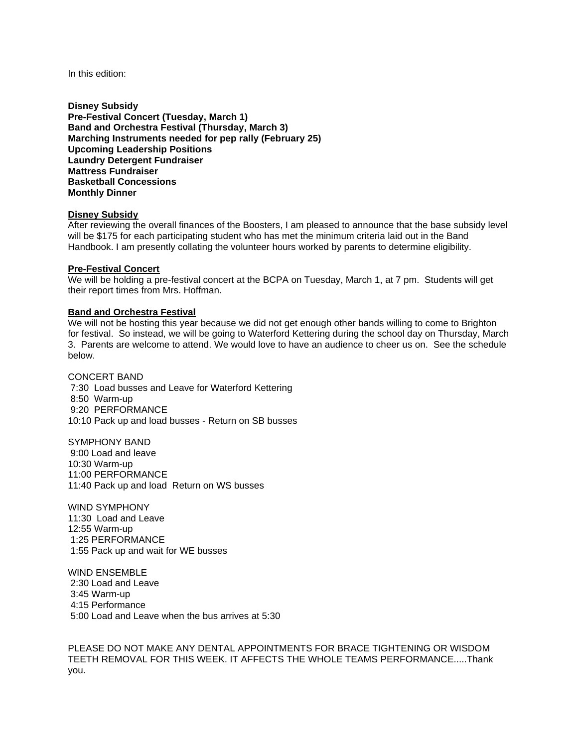In this edition:

**Disney Subsidy Pre-Festival Concert (Tuesday, March 1) Band and Orchestra Festival (Thursday, March 3) Marching Instruments needed for pep rally (February 25) Upcoming Leadership Positions Laundry Detergent Fundraiser Mattress Fundraiser Basketball Concessions Monthly Dinner**

# **Disney Subsidy**

After reviewing the overall finances of the Boosters, I am pleased to announce that the base subsidy level will be \$175 for each participating student who has met the minimum criteria laid out in the Band Handbook. I am presently collating the volunteer hours worked by parents to determine eligibility.

#### **Pre-Festival Concert**

We will be holding a pre-festival concert at the BCPA on Tuesday, March 1, at 7 pm. Students will get their report times from Mrs. Hoffman.

#### **Band and Orchestra Festival**

We will not be hosting this year because we did not get enough other bands willing to come to Brighton for festival. So instead, we will be going to Waterford Kettering during the school day on Thursday, March 3. Parents are welcome to attend. We would love to have an audience to cheer us on. See the schedule below.

CONCERT BAND 7:30 Load busses and Leave for Waterford Kettering 8:50 Warm-up 9:20 PERFORMANCE 10:10 Pack up and load busses - Return on SB busses

SYMPHONY BAND 9:00 Load and leave 10:30 Warm-up 11:00 PERFORMANCE 11:40 Pack up and load Return on WS busses

WIND SYMPHONY 11:30 Load and Leave 12:55 Warm-up 1:25 PERFORMANCE 1:55 Pack up and wait for WE busses

WIND ENSEMBLE 2:30 Load and Leave 3:45 Warm-up 4:15 Performance 5:00 Load and Leave when the bus arrives at 5:30

PLEASE DO NOT MAKE ANY DENTAL APPOINTMENTS FOR BRACE TIGHTENING OR WISDOM TEETH REMOVAL FOR THIS WEEK. IT AFFECTS THE WHOLE TEAMS PERFORMANCE.....Thank you.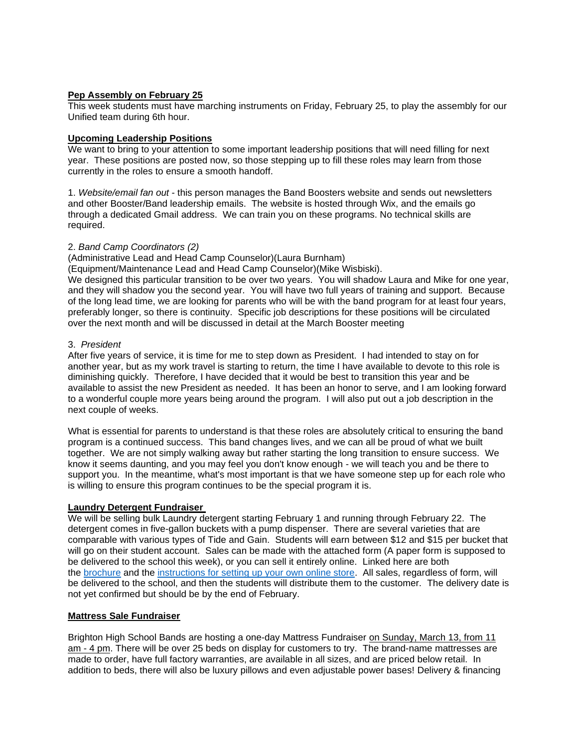# **Pep Assembly on February 25**

This week students must have marching instruments on Friday, February 25, to play the assembly for our Unified team during 6th hour.

### **Upcoming Leadership Positions**

We want to bring to your attention to some important leadership positions that will need filling for next year. These positions are posted now, so those stepping up to fill these roles may learn from those currently in the roles to ensure a smooth handoff.

1. *Website/email fan out* - this person manages the Band Boosters website and sends out newsletters and other Booster/Band leadership emails. The website is hosted through Wix, and the emails go through a dedicated Gmail address. We can train you on these programs. No technical skills are required.

### 2. *Band Camp Coordinators (2)*

(Administrative Lead and Head Camp Counselor)(Laura Burnham)

(Equipment/Maintenance Lead and Head Camp Counselor)(Mike Wisbiski).

We designed this particular transition to be over two years. You will shadow Laura and Mike for one year, and they will shadow you the second year. You will have two full years of training and support. Because of the long lead time, we are looking for parents who will be with the band program for at least four years, preferably longer, so there is continuity. Specific job descriptions for these positions will be circulated over the next month and will be discussed in detail at the March Booster meeting

### 3. *President*

After five years of service, it is time for me to step down as President. I had intended to stay on for another year, but as my work travel is starting to return, the time I have available to devote to this role is diminishing quickly. Therefore, I have decided that it would be best to transition this year and be available to assist the new President as needed. It has been an honor to serve, and I am looking forward to a wonderful couple more years being around the program. I will also put out a job description in the next couple of weeks.

What is essential for parents to understand is that these roles are absolutely critical to ensuring the band program is a continued success. This band changes lives, and we can all be proud of what we built together. We are not simply walking away but rather starting the long transition to ensure success. We know it seems daunting, and you may feel you don't know enough - we will teach you and be there to support you. In the meantime, what's most important is that we have someone step up for each role who is willing to ensure this program continues to be the special program it is.

### **Laundry Detergent Fundraiser**

We will be selling bulk Laundry detergent starting February 1 and running through February 22. The detergent comes in five-gallon buckets with a pump dispenser. There are several varieties that are comparable with various types of Tide and Gain. Students will earn between \$12 and \$15 per bucket that will go on their student account. Sales can be made with the attached form (A paper form is supposed to be delivered to the school this week), or you can sell it entirely online. Linked here are both the [brochure](https://c03bda90-4399-4b42-8105-a0587557a671.filesusr.com/ugd/8ce1b1_108145271915498a9bf598fe96717705.pdf) and the [instructions for setting up your own online store.](https://c03bda90-4399-4b42-8105-a0587557a671.filesusr.com/ugd/8ce1b1_44d511d742344d06abe4423925220553.docx?dn=Detergent_Online%20Instructions_Brighton%20Band.docx) All sales, regardless of form, will be delivered to the school, and then the students will distribute them to the customer. The delivery date is not yet confirmed but should be by the end of February.

### **Mattress Sale Fundraiser**

Brighton High School Bands are hosting a one-day Mattress Fundraiser on Sunday, March 13, from 11 am - 4 pm. There will be over 25 beds on display for customers to try. The brand-name mattresses are made to order, have full factory warranties, are available in all sizes, and are priced below retail. In addition to beds, there will also be luxury pillows and even adjustable power bases! Delivery & financing